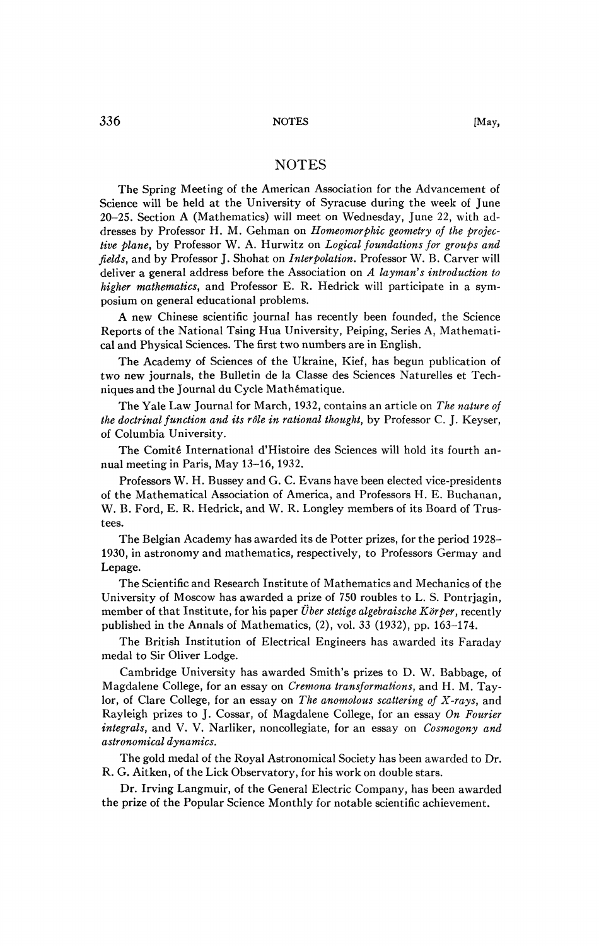The Spring Meeting of the American Association for the Advancement of Science will be held at the University of Syracuse during the week of June 20-25. Section A (Mathematics) will meet on Wednesday, June 22, with addresses by Professor H. M. Gehman on *Homeomorphic geometry of the projective plane,* by Professor W. A. Hurwitz on *Logical foundations for groups and fields,* and by Professor J. Shohat on *Interpolation.* Professor W. B. Carver will deliver a general address before the Association on *A layman's introduction to higher mathematics,* and Professor E. R. Hedrick will participate in a symposium on general educational problems.

A new Chinese scientific journal has recently been founded, the Science Reports of the National Tsing Hua University, Peiping, Series A, Mathematical and Physical Sciences. The first two numbers are in English.

The Academy of Sciences of the Ukraine, Kief, has begun publication of two new journals, the Bulletin de la Classe des Sciences Naturelles et Techniques and the Journal du Cycle Mathématique.

The Yale Law Journal for March, 1932, contains an article on *The nature of the doctrinal function and its rôle in rational thought, by Professor C. J. Keyser,* of Columbia University.

The Comité International d'Histoire des Sciences will hold its fourth annual meeting in Paris, May 13-16, 1932.

Professors W. H. Bussey and G. C. Evans have been elected vice-presidents of the Mathematical Association of America, and Professors H. E. Buchanan, W. B. Ford, E. R. Hedrick, and W. R. Longley members of its Board of Trustees.

The Belgian Academy has awarded its de Potter prizes, for the period 1928- 1930, in astronomy and mathematics, respectively, to Professors Germay and Lepage.

The Scientific and Research Institute of Mathematics and Mechanics of the University of Moscow has awarded a prize of 750 roubles to L. S. Pontrjagin, member of that Institute, for his paper *Über stetige algebraïsche Körper,* recently published in the Annals of Mathematics, (2), vol. *33* (1932), pp. 163-174.

The British Institution of Electrical Engineers has awarded its Faraday medal to Sir Oliver Lodge.

Cambridge University has awarded Smith's prizes to D. W. Babbage, of Magdalene College, for an essay on *Cremona transformations,* and H. M. Taylor, of Clare College, for an essay on *The anomolous scattering of X-rays,* and Rayleigh prizes to J. Cossar, of Magdalene College, for an essay *On Fourier integrals,* and V. V. Narliker, noncollegiate, for an essay on *Cosmogony and astronomical dynamics.* 

The gold medal of the Royal Astronomical Society has been awarded to Dr. R. G. Aitken, of the Lick Observatory, for his work on double stars.

Dr. Irving Langmuir, of the General Electric Company, has been awarded the prize of the Popular Science Monthly for notable scientific achievement.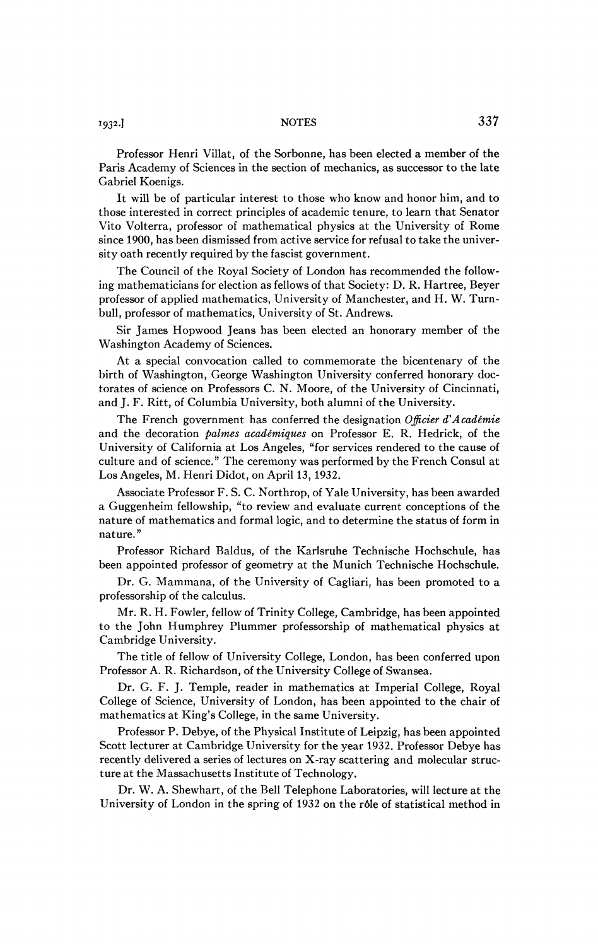Professor Henri Villat, of the Sorbonne, has been elected a member of the Paris Academy of Sciences in the section of mechanics, as successor to the late Gabriel Koenigs.

It will be of particular interest to those who know and honor him, and to those interested in correct principles of academic tenure, to learn that Senator Vito Volterra, professor of mathematical physics at the University of Rome since 1900, has been dismissed from active service for refusal to take the university oath recently required by the fascist government.

The Council of the Royal Society of London has recommended the following mathematicians for election as fellows of that Society: D. R. Hartree, Beyer professor of applied mathematics, University of Manchester, and H. W. Turnbull, professor of mathematics, University of St. Andrews.

Sir James Hopwood Jeans has been elected an honorary member of the Washington Academy of Sciences.

At a special convocation called to commemorate the bicentenary of the birth of Washington, George Washington University conferred honorary doctorates of science on Professors C. N. Moore, of the University of Cincinnati, and J. F. Ritt, of Columbia University, both alumni of the University.

The French government has conferred the designation *Officier d'Académie*  and the decoration *palmes académiques* on Professor E. R. Hedrick, of the University of California at Los Angeles, "for services rendered to the cause of culture and of science." The ceremony was performed by the French Consul at Los Angeles, M. Henri Didot, on April 13, 1932.

Associate Professor F. S. C. Northrop, of Yale University, has been awarded a Guggenheim fellowship, "to review and evaluate current conceptions of the nature of mathematics and formal logic, and to determine the status of form in nature."

Professor Richard Baldus, of the Karlsruhe Technische Hochschule, has been appointed professor of geometry at the Munich Technische Hochschule.

Dr. G. Mammana, of the University of Cagliari, has been promoted to a professorship of the calculus.

Mr. R. H. Fowler, fellow of Trinity College, Cambridge, has been appointed to the John Humphrey Plummer professorship of mathematical physics at Cambridge University.

The title of fellow of University College, London, has been conferred upon Professor A. R. Richardson, of the University College of Swansea.

Dr. G. F. J. Temple, reader in mathematics at Imperial College, Royal College of Science, University of London, has been appointed to the chair of mathematics at King's College, in the same University.

Professor P. Debye, of the Physical Institute of Leipzig, has been appointed Scott lecturer at Cambridge University for the year 1932. Professor Debye has recently delivered a series of lectures on X-ray scattering and molecular structure at the Massachusetts Institute of Technology.

Dr. W. A. Shewhart, of the Bell Telephone Laboratories, will lecture at the University of London in the spring of 1932 on the rôle of statistical method in

*\*93<sup>2</sup>*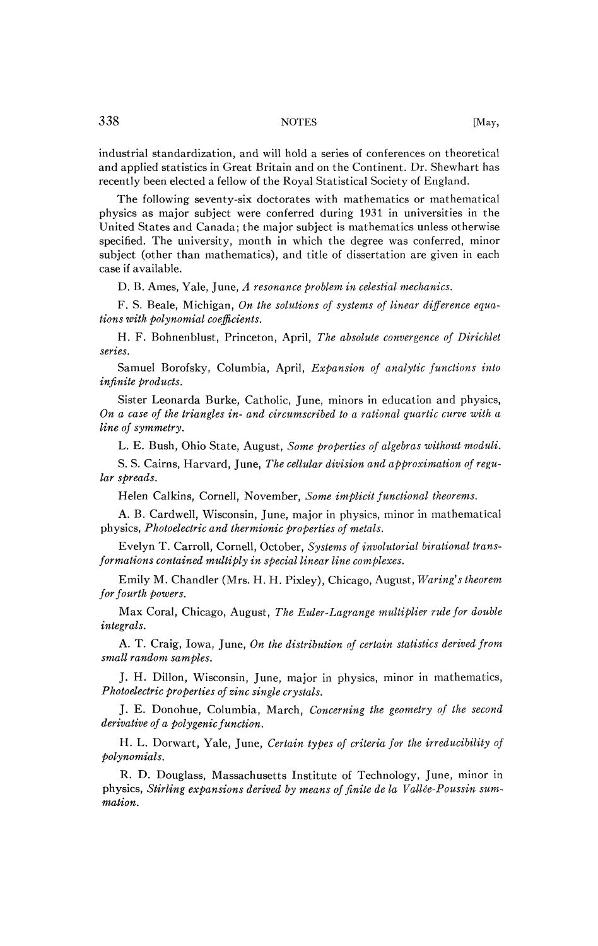industrial standardization, and will hold a series of conferences on theoretical and applied statistics in Great Britain and on the Continent. Dr. Shewhart has recently been elected a fellow of the Royal Statistical Society of England.

The following seventy-six doctorates with mathematics or mathematical physics as major subject were conferred during 1931 in universities in the United States and Canada; the major subject is mathematics unless otherwise specified. The university, month in which the degree was conferred, minor subject (other than mathematics), and title of dissertation are given in each case if available.

D. B. Ames, Yale, June, *A resonance problem in celestial mechanics.* 

F. S. Beale, Michigan, *On the solutions of systems of linear difference equations with polynomial coefficients.* 

H. F. Bohnenblust, Princeton, April, *The absolute convergence of Dirichlet series.* 

Samuel Borofsky, Columbia, April, *Expansion of analytic functions into infinite products.* 

Sister Leonarda Burke, Catholic, June, minors in education and physics, *On a case of the triangles in- and circumscribed to a rational quartic curve with a line of symmetry.* 

L. E. Bush, Ohio State, August, *Some properties of algebras without moduli.* 

S. S. Cairns, Harvard, June, *The cellular division and approximation of regular spreads.* 

Helen Calkins, Cornell, November, *Some implicit functional theorems.* 

A. B. Cardwell, Wisconsin, June, major in physics, minor in mathematical physics, *Photoelectric and thermionic properties of metals.* 

Evelyn T. Carroll, Cornell, October, *Systems of involutorial birational transformations contained multiply in special linear line complexes.* 

Emily M. Chandler (Mrs. H. H. Pixley), Chicago, August, *Waring's theorem for fourth powers.* 

Max Coral, Chicago, August, The Euler-Lagrange multiplier rule for double *integrals.* 

A. T. Craig, Iowa, June, *On the distribution of certain statistics derived from small random samples.* 

J. H. Dillon, Wisconsin, June, major in physics, minor in mathematics, *Photoelectric properties of zinc single crystals.* 

J. E. Donohue, Columbia, March, *Concerning the geometry of the second derivative of a polygenic function.* 

H. L. Dorwart, Yale, June, Certain types of criteria for the irreducibility of *polynomials.* 

R. D. Douglass, Massachusetts Institute of Technology, June, minor in physics, *Stirling expansions derived by means of finite de la Vallée-Poussin summation.*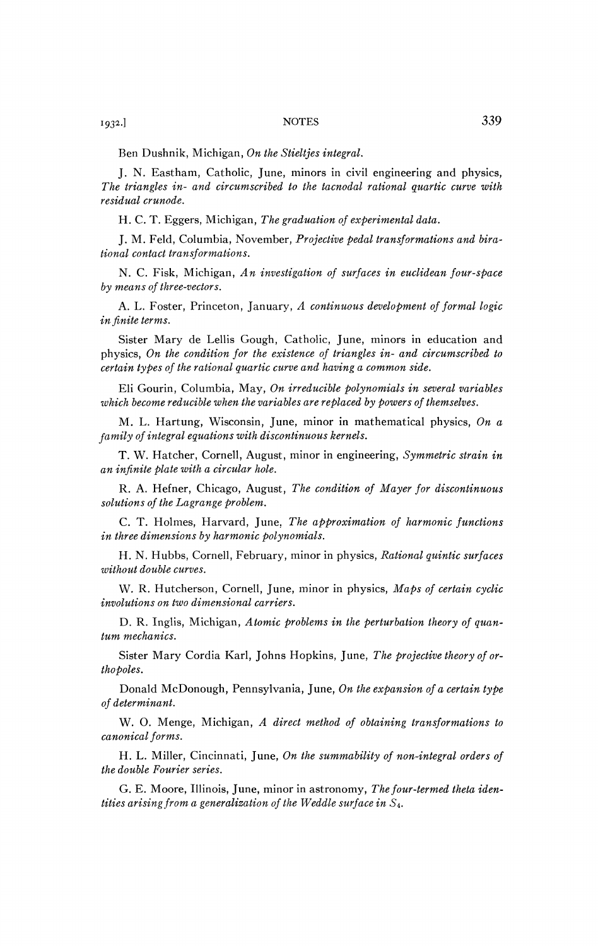1932.]

Ben Dushnik, Michigan, *On the Stieltjes integral.* 

J. N. Eastham, Catholic, June, minors in civil engineering and physics, *The triangles in- and circumscribed to the tacnodal rational quartic curve with residual crunode.* 

H. C. T. Eggers, Michigan, *The graduation of experimental data.* 

J. M. Feld, Columbia, November, *Projective pedal transformations and birational contact transformations.* 

N. C. Fisk, Michigan, *An investigation of surfaces in euclidean four-space by means of three-vectors.* 

A. L. Foster, Princeton, January, *A continuous development of formal logic in finite terms.* 

Sister Mary de Leilis Gough, Catholic, June, minors in education and physics, *On the condition for the existence of triangles in- and circumscribed to certain types of the rational quartic curve and having a common side.* 

Eli Gourin, Columbia, May, *On irreducible polynomials in several variables which become reducible when the variables are replaced by powers of themselves.* 

M. L. Hartung, Wisconsin, June, minor in mathematical physics, *On a family of integral equations with discontinuous kernels.* 

T. W. Hatcher, Cornell, August, minor in engineering, *Symmetric strain in an infinite plate with a circular hole.* 

R. A. Hefner, Chicago, August, *The condition of Mayer for discontinuous solutions of the Lagrange problem.* 

C. T. Holmes, Harvard, June, *The approximation of harmonic functions in three dimensions by harmonic polynomials.* 

H. N. Hubbs, Cornell, February, minor in physics, *Rational quintic surfaces without double curves.* 

W. R. Hutcherson, Cornell, June, minor in physics, *Maps of certain cyclic involutions on two dimensional carriers.* 

D. R. Inglis, Michigan, *Atomic problems in the perturbation theory of quantum mechanics.* 

Sister Mary Cordia Karl, Johns Hopkins, June, *The projective theory of orthopoles.* 

Donald McDonough, Pennsylvania, June, On the expansion of a certain type *of determinant.* 

W. O. Menge, Michigan, *A direct method of obtaining transformations to canonical forms.* 

H. L. Miller, Cincinnati, June, *On the summability of non-integral orders of the double Fourier series.* 

G. E. Moore, Illinois, June, minor in astronomy, *The four-termed theta identities arising from a generalization of the Weddle surface in* S4.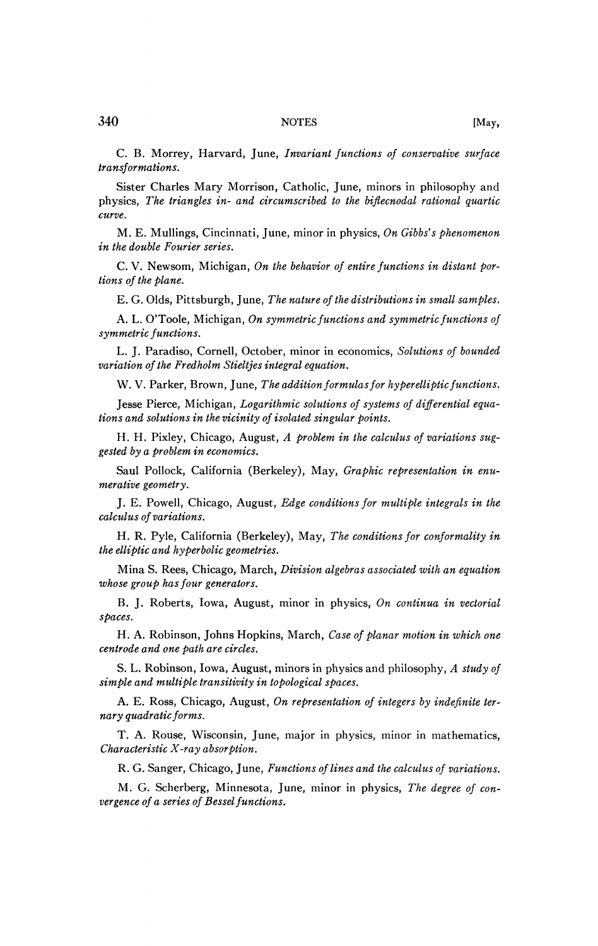C. B. Morrey, Harvard, June, *Invariant functions of conservative surface transformations.* 

Sister Charles Mary Morrison, Catholic, June, minors in philosophy and physics, *The triangles in- and circumscribed to the biflecnodal rational quartic curve.* 

M. E. Mullings, Cincinnati, June, minor in physics, *On Gibbs's phenomenon in the double Fourier series.* 

C. V. Newsom, Michigan, On the behavior of entire functions in distant por*tions of the plane.* 

E. G. Olds, Pittsburgh, June, *The nature of the distributions in small samples.* 

A. L. O'Toole, Michigan, On symmetric functions and symmetric functions of *symmetric functions.* 

L. J. Paradiso, Cornell, October, minor in economics, *Solutions of bounded variation of the Fredholm Stieltjes integral equation.* 

W. V. Parker, Brown, June, *The addition formulas for hyperelliptic functions*.

Jesse Pierce, Michigan, *Logarithmic solutions of systems of differential equations and solutions in the vicinity of isolated singular points.* 

H. H. Pixley, Chicago, August, *A problem in the calculus of variations suggested by a problem in economics.* 

Saul Pollock, California (Berkeley), May, *Graphic representation in enumerative geometry.* 

J. E. Powell, Chicago, August, *Edge conditions for multiple integrals in the calculus of variations.* 

H. R. Pyle, California (Berkeley), May, *The conditions for conformality in the elliptic and hyperbolic geometries.* 

Mina S. Rees, Chicago, March, *Division algebras associated with an equation whose group has four generators.* 

B. J. Roberts, Iowa, August, minor in physics, *On continua in vectorial spaces.* 

H. A. Robinson, Johns Hopkins, March, *Case of planar motion in which one centrode and one path are circles.* 

S. L. Robinson, Iowa, August, minors in physics and philosophy, *A study of simple and multiple transitivity in topological spaces.* 

A. E. Ross, Chicago, August, *On representation of integers by indefinite ternary quadratic forms.* 

T. A. Rouse, Wisconsin, June, major in physics, minor in mathematics, *Characteristic X-ray absorption.* 

R. G. Sanger, Chicago, June, *Functions of lines and the calculus of variations.* 

M. G. Scherberg, Minnesota, June, minor in physics, *The degree of convergence of a series of Bes sel functions.*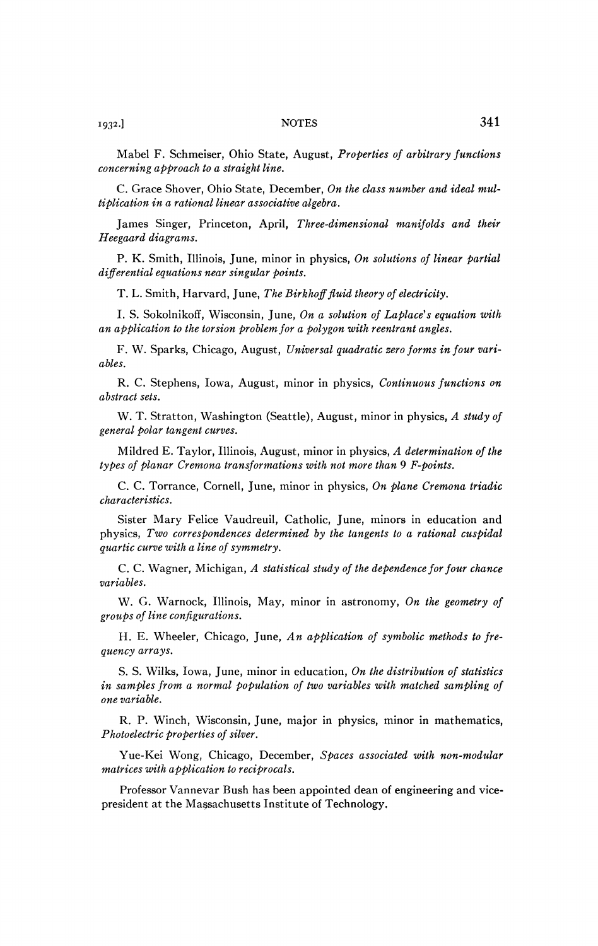Mabel F. Schmeiser, Ohio State, August, *Properties of arbitrary functions concerning approach to a straight line.* 

C. Grace Shover, Ohio State, December, *On the class number and ideal multiplication in a rational linear associative algebra.* 

James Singer, Princeton, April, *Three-dimensional manifolds and their Heegaard diagrams.* 

P. K. Smith, Illinois, June, minor in physics, *On solutions of linear partial differential equations near singular points.* 

T. L. Smith, Harvard, June, *The Birkhoff fluid theory of electricity.* 

I. S. Sokolnikoff, Wisconsin, June, *On a solution of Laplace's equation with*  an application to the torsion problem for a polygon with reentrant angles.

F. W. Sparks, Chicago, August, *Universal quadratic zero forms in four variables.* 

R. C. Stephens, Iowa, August, minor in physics, *Continuous functions on abstract sets.* 

W. T. Stratton, Washington (Seattle), August, minor in physics, *A study of general polar tangent curves.* 

Mildred E. Taylor, Illinois, August, minor in physics, *A determination of the types of planar Cremona transformations with not more than* 9 *F-points.* 

C. C. Torrance, Cornell, June, minor in physics, *On plane Cremona triadic characteristics.* 

Sister Mary Felice Vaudreuil, Catholic, June, minors in education and physics, *Two correspondences determined by the tangents to a rational cuspidal quartic curve with a line of symmetry.* 

*C.* C. Wagner, Michigan, A statistical study of the dependence for four chance *variables.* 

W. G. Warnock, Illinois, May, minor in astronomy, *On the geometry of groups of line configurations.* 

H. E. Wheeler, Chicago, June, *An application of symbolic methods to frequency arrays.* 

S. S. Wilks, Iowa, June, minor in education, *On the distribution of statistics*  in samples from a normal population of two variables with matched sampling of *one variable.* 

R. P. Winch, Wisconsin, June, major in physics, minor in mathematics, *Photoelectric properties of silver.* 

Yue-Kei Wong, Chicago, December, *Spaces associated with non-modular matrices with application to reciprocals.* 

Professor Vannevar Bush has been appointed dean of engineering and vicepresident at the Massachusetts Institute of Technology,